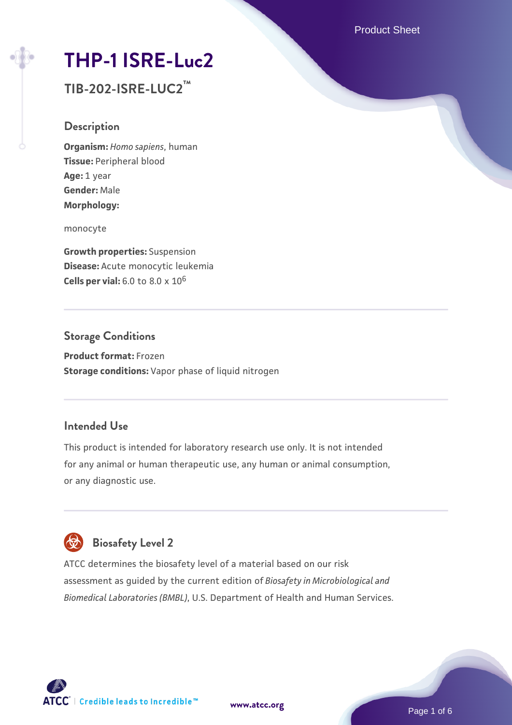Product Sheet

# **[THP-1 ISRE-Luc2](https://www.atcc.org/products/tib-202-isre-luc2)**

**TIB-202-ISRE-LUC2™**

## **Description**

**Organism:** *Homo sapiens*, human **Tissue:** Peripheral blood **Age:** 1 year **Gender:** Male **Morphology:**

monocyte

**Growth properties:** Suspension **Disease:** Acute monocytic leukemia **Cells per vial:** 6.0 to 8.0 x 10<sup>6</sup>

# **Storage Conditions**

**Product format:** Frozen **Storage conditions:** Vapor phase of liquid nitrogen

## **Intended Use**

This product is intended for laboratory research use only. It is not intended for any animal or human therapeutic use, any human or animal consumption, or any diagnostic use.



ATCC determines the biosafety level of a material based on our risk assessment as guided by the current edition of *Biosafety in Microbiological and Biomedical Laboratories (BMBL)*, U.S. Department of Health and Human Services.

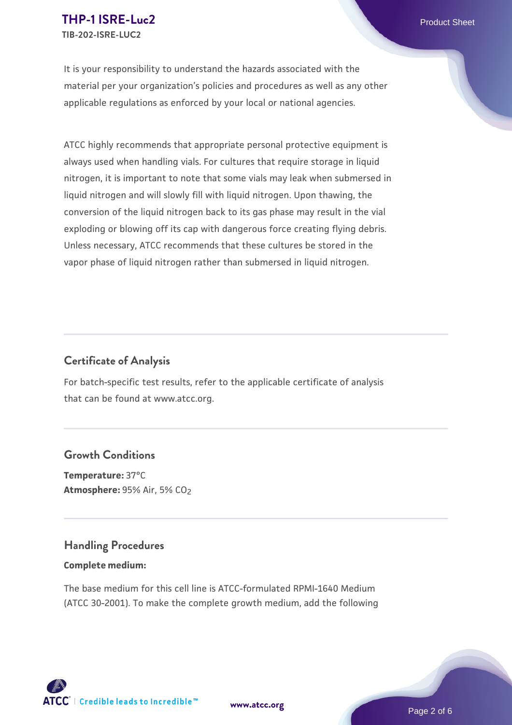It is your responsibility to understand the hazards associated with the material per your organization's policies and procedures as well as any other applicable regulations as enforced by your local or national agencies.

ATCC highly recommends that appropriate personal protective equipment is always used when handling vials. For cultures that require storage in liquid nitrogen, it is important to note that some vials may leak when submersed in liquid nitrogen and will slowly fill with liquid nitrogen. Upon thawing, the conversion of the liquid nitrogen back to its gas phase may result in the vial exploding or blowing off its cap with dangerous force creating flying debris. Unless necessary, ATCC recommends that these cultures be stored in the vapor phase of liquid nitrogen rather than submersed in liquid nitrogen.

# **Certificate of Analysis**

For batch-specific test results, refer to the applicable certificate of analysis that can be found at www.atcc.org.

## **Growth Conditions**

**Temperature:** 37°C **Atmosphere: 95% Air, 5% CO<sub>2</sub>** 

## **Handling Procedures**

#### **Complete medium:**

The base medium for this cell line is ATCC-formulated RPMI-1640 Medium (ATCC 30-2001). To make the complete growth medium, add the following



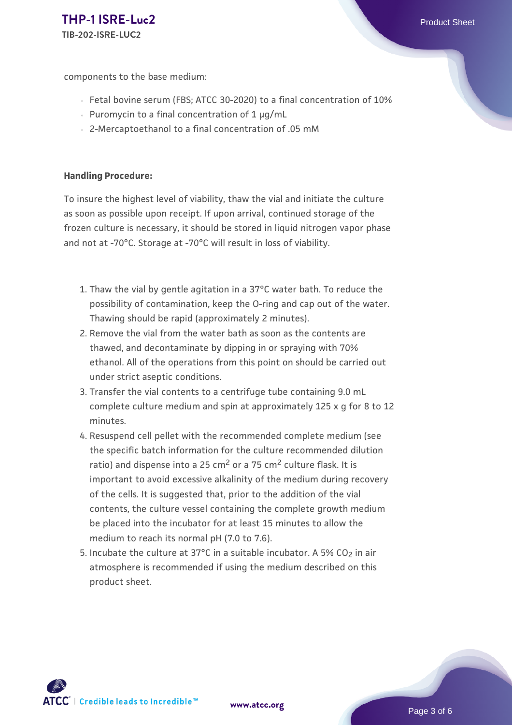components to the base medium:

- Fetal bovine serum (FBS; ATCC 30-2020) to a final concentration of 10%
- Puromycin to a final concentration of  $1 \mu q/mL$
- 2-Mercaptoethanol to a final concentration of .05 mM

#### **Handling Procedure:**

To insure the highest level of viability, thaw the vial and initiate the culture as soon as possible upon receipt. If upon arrival, continued storage of the frozen culture is necessary, it should be stored in liquid nitrogen vapor phase and not at -70°C. Storage at -70°C will result in loss of viability.

- 1. Thaw the vial by gentle agitation in a 37°C water bath. To reduce the  $\,$ possibility of contamination, keep the O-ring and cap out of the water. Thawing should be rapid (approximately 2 minutes).
- 2. Remove the vial from the water bath as soon as the contents are thawed, and decontaminate by dipping in or spraying with 70% ethanol. All of the operations from this point on should be carried out under strict aseptic conditions.
- 3. Transfer the vial contents to a centrifuge tube containing 9.0 mL complete culture medium and spin at approximately 125 x g for 8 to 12 minutes.
- 4. Resuspend cell pellet with the recommended complete medium (see the specific batch information for the culture recommended dilution ratio) and dispense into a 25  $\text{cm}^2$  or a 75  $\text{cm}^2$  culture flask. It is important to avoid excessive alkalinity of the medium during recovery of the cells. It is suggested that, prior to the addition of the vial contents, the culture vessel containing the complete growth medium be placed into the incubator for at least 15 minutes to allow the medium to reach its normal pH (7.0 to 7.6).
- 5. Incubate the culture at 37°C in a suitable incubator. A 5% CO<sub>2</sub> in air atmosphere is recommended if using the medium described on this product sheet.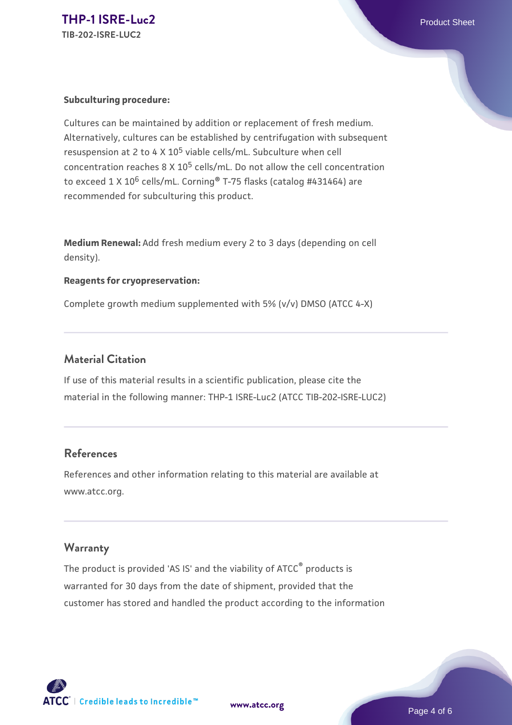#### **Subculturing procedure:**

Cultures can be maintained by addition or replacement of fresh medium. Alternatively, cultures can be established by centrifugation with subsequent resuspension at 2 to 4 X  $10^5$  viable cells/mL. Subculture when cell concentration reaches 8 X 105 cells/mL. Do not allow the cell concentration to exceed  $1 \times 10^6$  cells/mL. Corning® T-75 flasks (catalog #431464) are recommended for subculturing this product.

**Medium Renewal:** Add fresh medium every 2 to 3 days (depending on cell density).

#### **Reagents for cryopreservation:**

Complete growth medium supplemented with 5% (v/v) DMSO (ATCC 4-X)

## **Material Citation**

If use of this material results in a scientific publication, please cite the material in the following manner: THP-1 ISRE-Luc2 (ATCC TIB-202-ISRE-LUC2)

## **References**

References and other information relating to this material are available at www.atcc.org.

## **Warranty**

The product is provided 'AS IS' and the viability of ATCC® products is warranted for 30 days from the date of shipment, provided that the customer has stored and handled the product according to the information

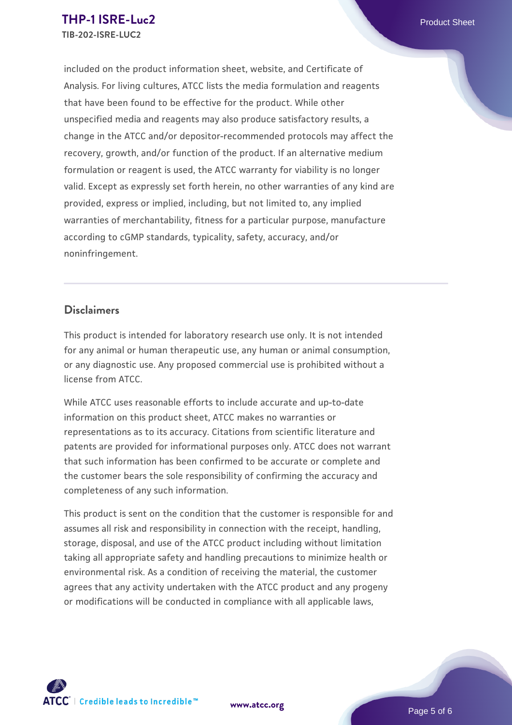included on the product information sheet, website, and Certificate of Analysis. For living cultures, ATCC lists the media formulation and reagents that have been found to be effective for the product. While other unspecified media and reagents may also produce satisfactory results, a change in the ATCC and/or depositor-recommended protocols may affect the recovery, growth, and/or function of the product. If an alternative medium formulation or reagent is used, the ATCC warranty for viability is no longer valid. Except as expressly set forth herein, no other warranties of any kind are provided, express or implied, including, but not limited to, any implied warranties of merchantability, fitness for a particular purpose, manufacture according to cGMP standards, typicality, safety, accuracy, and/or noninfringement.

## **Disclaimers**

This product is intended for laboratory research use only. It is not intended for any animal or human therapeutic use, any human or animal consumption, or any diagnostic use. Any proposed commercial use is prohibited without a license from ATCC.

While ATCC uses reasonable efforts to include accurate and up-to-date information on this product sheet, ATCC makes no warranties or representations as to its accuracy. Citations from scientific literature and patents are provided for informational purposes only. ATCC does not warrant that such information has been confirmed to be accurate or complete and the customer bears the sole responsibility of confirming the accuracy and completeness of any such information.

This product is sent on the condition that the customer is responsible for and assumes all risk and responsibility in connection with the receipt, handling, storage, disposal, and use of the ATCC product including without limitation taking all appropriate safety and handling precautions to minimize health or environmental risk. As a condition of receiving the material, the customer agrees that any activity undertaken with the ATCC product and any progeny or modifications will be conducted in compliance with all applicable laws,

**[www.atcc.org](http://www.atcc.org)**

Page 5 of 6